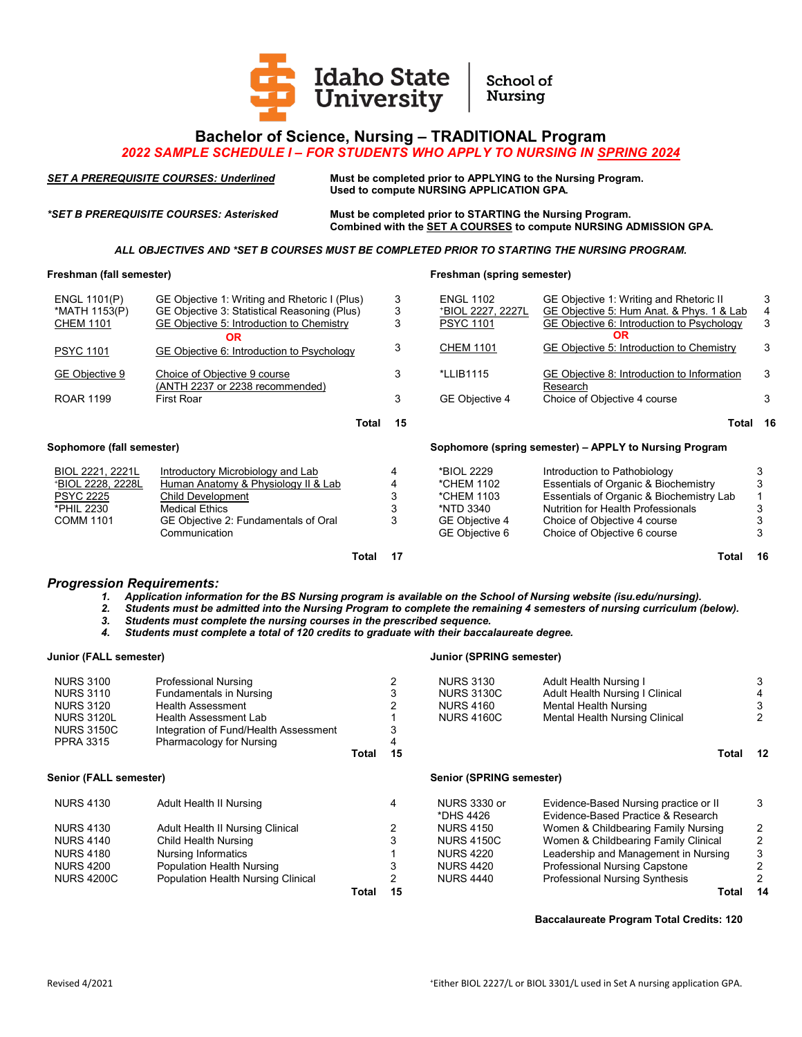

## **Bachelor of Science, Nursing – TRADITIONAL Program**

## *2022 SAMPLE SCHEDULE I – FOR STUDENTS WHO APPLY TO NURSING IN SPRING 2024*

*SET A PREREQUISITE COURSES: Underlined* **Must be completed prior to APPLYING to the Nursing Program. Used to compute NURSING APPLICATION GPA.**

*\*SET B PREREQUISITE COURSES: Asterisked* **Must be completed prior to STARTING the Nursing Program. Combined with the SET A COURSES to compute NURSING ADMISSION GPA.**

*ALL OBJECTIVES AND \*SET B COURSES MUST BE COMPLETED PRIOR TO STARTING THE NURSING PROGRAM.*

## **Freshman (fall semester) Freshman (spring semester)**

| ENGL 1101(P)              | GE Objective 1: Writing and Rhetoric I (Plus) | 3           | <b>ENGL 1102</b>  | GE Objective 1: Writing and Rhetoric II                |    |
|---------------------------|-----------------------------------------------|-------------|-------------------|--------------------------------------------------------|----|
| *MATH 1153(P)             | GE Objective 3: Statistical Reasoning (Plus)  | 3           | *BIOL 2227. 2227L | GE Objective 5: Hum Anat, & Phys, 1 & Lab              |    |
| <b>CHEM 1101</b>          | GE Objective 5: Introduction to Chemistry     | 3           | <b>PSYC 1101</b>  | GE Objective 6: Introduction to Psychology             | 3  |
|                           | OR                                            |             |                   | <b>OR</b>                                              |    |
| <b>PSYC 1101</b>          | GE Objective 6: Introduction to Psychology    | 3           | <b>CHEM 1101</b>  | GE Objective 5: Introduction to Chemistry              | 3  |
|                           |                                               |             |                   |                                                        |    |
| GE Objective 9            | Choice of Objective 9 course                  | 3           | *LLIB1115         | GE Objective 8: Introduction to Information            | 3  |
|                           | (ANTH 2237 or 2238 recommended)               |             |                   | Research                                               |    |
| <b>ROAR 1199</b>          | <b>First Roar</b>                             | 3           | GE Objective 4    | Choice of Objective 4 course                           | 3  |
|                           |                                               |             |                   |                                                        |    |
|                           |                                               | 15<br>Total |                   | Total                                                  | 16 |
| Sophomore (fall semester) |                                               |             |                   | Sophomore (spring semester) – APPLY to Nursing Program |    |
|                           |                                               |             |                   |                                                        |    |
| BIOL 2221, 2221L          | Introductory Microbiology and Lab             | 4           | *BIOL 2229        | Introduction to Pathobiology                           |    |
|                           |                                               |             | *CHEM 1102        |                                                        |    |
| +BIOL 2228, 2228L         | Human Anatomy & Physiology II & Lab           |             |                   | Essentials of Organic & Biochemistry                   |    |
| <b>PSYC 2225</b>          | Child Development                             |             | *CHEM 1103        | Essentials of Organic & Biochemistry Lab               |    |
| *PHIL 2230                | <b>Medical Ethics</b>                         |             | *NTD 3340         | <b>Nutrition for Health Professionals</b>              |    |
| <b>COMM 1101</b>          | GE Objective 2: Fundamentals of Oral          |             | GE Objective 4    | Choice of Objective 4 course                           |    |

**Total 17 Total 16**

*Progression Requirements:*

*1. Application information for the BS Nursing program is available on the School of Nursing website (isu.edu/nursing).*

- *2. Students must be admitted into the Nursing Program to complete the remaining 4 semesters of nursing curriculum (below).*
- 
- *3. Students must complete the nursing courses in the prescribed sequence. 4. Students must complete a total of 120 credits to graduate with their baccalaureate degree.*

| Junior (FALL semester)                |                          |    | <b>Junior (SPRING semester)</b> |                                        |                          |
|---------------------------------------|--------------------------|----|---------------------------------|----------------------------------------|--------------------------|
| <b>Professional Nursing</b>           |                          |    | <b>NURS 3130</b>                | <b>Adult Health Nursing I</b>          | 3                        |
| <b>Fundamentals in Nursing</b>        |                          |    | <b>NURS 3130C</b>               | <b>Adult Health Nursing I Clinical</b> |                          |
| Health Assessment                     |                          |    | <b>NURS 4160</b>                | Mental Health Nursing                  | 3                        |
| Health Assessment Lab                 |                          |    | <b>NURS 4160C</b>               | Mental Health Nursing Clinical         | 2                        |
| Integration of Fund/Health Assessment |                          |    |                                 |                                        |                          |
|                                       |                          |    |                                 |                                        |                          |
|                                       | Total                    | 15 |                                 | Total                                  | 12                       |
| Senior (FALL semester)                |                          |    |                                 |                                        |                          |
| Adult Health II Nursing               |                          | 4  | NURS 3330 or                    | Evidence-Based Nursing practice or II  | 3                        |
|                                       |                          |    | *DHS 4426                       | Evidence-Based Practice & Research     |                          |
| Adult Health II Nursing Clinical      |                          | 2  | <b>NURS 4150</b>                | Women & Childbearing Family Nursing    | 2                        |
| Child Health Nursing                  |                          |    | <b>NURS 4150C</b>               | Women & Childbearing Family Clinical   | 2                        |
| <b>Nursing Informatics</b>            |                          |    | <b>NURS 4220</b>                | Leadership and Management in Nursing   | 3                        |
| Population Health Nursing             |                          |    | <b>NURS 4420</b>                | <b>Professional Nursing Capstone</b>   | 2                        |
| Population Health Nursing Clinical    |                          |    | <b>NURS 4440</b>                | <b>Professional Nursing Synthesis</b>  | 2                        |
|                                       | Total                    | 15 |                                 | Total                                  | 14                       |
|                                       | Pharmacology for Nursing |    |                                 |                                        | Senior (SPRING semester) |

**Baccalaureate Program Total Credits: 120**